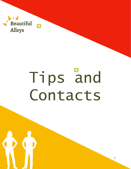

# Tips and Contacts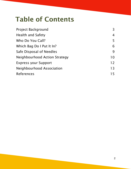#### Table of Contents

| <b>Project Background</b>     | 3  |
|-------------------------------|----|
| <b>Health and Safety</b>      | 4  |
| Who Do You Call?              | 5  |
| Which Bag Do I Put It In?     | 6  |
| Safe Disposal of Needles      | 9  |
| Neighbourhood Action Strategy | 10 |
| <b>Express your Support</b>   | 12 |
| Neighbourhood Association     | 13 |
| <b>References</b>             | 15 |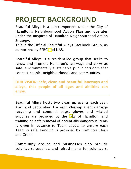#### PROJECT BACKGROUND

Beautiful Alleys is a sub-component under the City of Hamilton's Neighbourhood Action Plan and operates under the auspices of Hamilton Neighbourhood Action Strategy.

This is the Official Beautiful Alleys Facebook Group, as authorized by SPRC  $\mathcal{D}$  d NAS.

Beautiful Alleys is a resident-led group that seeks to renew and promote Hamilton's laneways and alleys as safe, environmentally sustainable public corridors that connect people, neighbourhoods and communities.

OUR VISION: Safe, clean and beautiful laneways and alleys, that people of all ages and abilities can enjoy.

Beautiful Alleys hosts two clean up events each year, April and September. For each cleanup event garbage recycling and compost bags, gloves and related supplies are provided by the  $\mathcal{D}$ ty of Hamilton, and training on safe removal of potentially dangerous items is given in advance to Team Leads, to ensure each Team is safe. Funding is provided by Hamilton Clean and Green.

Community groups and businesses also provide volunteers, supplies, and refreshments for volunteers,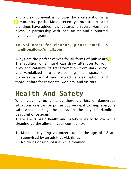and a cleanup event is followed by a celebration in a **Community park. Most recently, public art and** plantings have added new features to several Hamilton alleys, in partnership with local artists and supported by individual grants.

#### To volunteer for cleanup, please email us hamiltonalleys@gmail.com

Alleys are the perfect canvas for all forms of public art $\bigcirc$ The addition of a mural can draw attention to your alley and catalyze its transformation from dark, dirty, and vandalized into a welcoming open space that provides a bright and attractive destination and thoroughfare for residents, workers, and visitors.

#### **Health And Safety**

When cleaning up an alley there are lots of dangerous situations one can be put in but we want to keep everyone safe while making the alleys in the city of Hamilton beautiful once again!

There are 8 basic health and safety rules to follow while cleaning up the alleys in your community.

- 1. Make sure young volunteers under the age of 18 are supervised by an adult at ALL times
- 2. No drugs or alcohol use while cleaning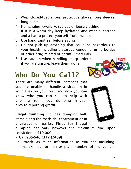- 3. Wear closed-toed shoes, protective gloves, long sleeves, long pants
- 4. No hanging jewellery, scarves or loose clothing
- 5. If it is a warm day keep hydrated and wear sunscreen and a hat to protect yourself from the sun
- 6. Use hand sanitizer before eating
- 7. Do not pick up anything that could be hazardous to your health including discarded condoms, urine bottles or other drug related or harmful materials
- 8. Use caution when handling sharp objects if you are unsure, leave them alone

## **Who Do You Call?**

There are many different instances that you are unable to handle a situation in your alley on your own and now you can know who you can call to help with anything from illegal dumping in your alley to reporting graffiti.

Illegal dumping includes dumping bulk items along the roadside, escarpment or in alleyways or parks. Fines for illegal

dumping can vary however the maximum fine upon conviction is \$10,000.

- Call 905-546-CITY (2489)
	- Provide as much information as you can including: make/model or license plate number of the vehicle,

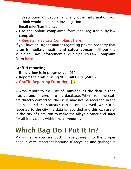description of people, and any other information you think would help in an investigation

- Email [mle@hamilton.ca](mailto:mle@hamilton.ca)
- Use the online complaints form and register a by-law complaint
	- [Register a By-Law Complaint Here](https://www.hamilton.ca/government-information/by-laws-and-enforcement/register-by-law-complaint)

If you have an urgent matter regarding private property that is an immediate health and safety concern fill out the Municipal Law Enforcement's Municipal By-Law Complaint Form [here](https://www.hamilton.ca/government-information/by-laws-and-enforcement/municipal-by-law-complaint-form)

#### Graffiti reporting

- If the crime is in progress call 911
- Report the graffiti using 905-548-CITY (2489)
- [Graffiti Reporting Form Here](https://www.hamilton.ca/parks-recreation/community-environmental-initiatives/graffiti-reporting-form)  $\Box$

Always report to the City of Hamilton as the data is then tracked and entered into the database. When frontline staff are directly contacted, the issue may not be recorded in the database and the statistics can become skewed. When it is reported to the city the data is recorded and this can assist in the city of Hamilton to make the alleys cleaner and safer for all individuals within the community.

#### Which Bag Do I Put It In?

Making sure you are putting everything into the proper bags is very important because if recycling and garbage is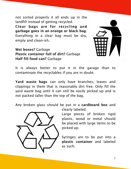not sorted properly it all ends up in the landfill instead of getting recycled.

Clear bags are for recycling and garbage goes in an orange or black bag. Everything in a clear bag must be dry, empty and clean-ish.

Wet boxes? Garbage Plastic container full of dirt? Garbage Half fill food can? Garbage



It is always better to put it in the garage than to contaminate the recyclables if you are in doubt.

Yard waste bags can only have branches, leaves and clippings in them that is reasonably dirt free. Only fill the yard waste bag until it can still be easily picked up and is not packed taller than the top of the bag.

Any broken glass should be put in a cardboard box and



clearly labeled.

Large pieces of broken rigid plastic, wood or metal should be placed with large items to be picked-up.

Syringes are to be put into a plastic container and labeled as such.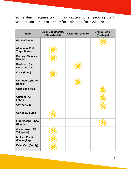Some items require training or caution when picking up. If you are untrained or uncomfortable, ask for assistance.

| Item                                          | <b>Clear Bag (Plastic/</b><br><b>Glass/Metal)</b> | <b>Clear Bag (Paper)</b> | <b>Orange/Black</b><br>(Garbage) |
|-----------------------------------------------|---------------------------------------------------|--------------------------|----------------------------------|
| <b>Aerosol Cans</b>                           |                                                   |                          |                                  |
| <b>Aluminum Foil,</b><br><b>Trays, Plates</b> |                                                   |                          |                                  |
| <b>Bottles (Glass and</b><br><b>Plastic)</b>  |                                                   |                          |                                  |
| Boxboard (i.e.<br><b>Cereal Boxes)</b>        |                                                   |                          |                                  |
| <b>Cans (Food)</b>                            |                                                   |                          |                                  |
| <b>Cardboard (Flatten</b><br><b>Boxes)</b>    |                                                   |                          |                                  |
| <b>Chip Bags (Foil)</b>                       |                                                   |                          |                                  |
| <b>Clothing, All</b><br><b>Fabric</b>         |                                                   |                          |                                  |
| <b>Coffee Cups</b>                            |                                                   |                          |                                  |
| <b>Coffee Cup Lids</b>                        |                                                   |                          |                                  |
| <b>Fluorescent Tubes</b><br>(Bundle)          |                                                   |                          |                                  |
| <b>Juice Boxes (All</b><br><b>Tetrapaks)</b>  |                                                   |                          |                                  |
| <b>Molded Plastic</b><br>(Packaging)          |                                                   |                          |                                  |
| <b>Paint Can (Empty)</b>                      |                                                   |                          |                                  |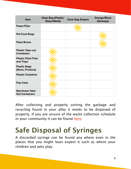| Item                                            | <b>Clear Bag (Plastic/</b><br><b>Glass/Metal)</b> | <b>Clear Bag (Paper)</b> | <b>Orange/Black</b><br>(Garbage) |
|-------------------------------------------------|---------------------------------------------------|--------------------------|----------------------------------|
| <b>Paper/Flyer</b>                              |                                                   |                          |                                  |
| <b>Pet Food Bogs</b>                            |                                                   |                          |                                  |
| <b>Pizza Boxes</b>                              |                                                   |                          |                                  |
| <b>Plastic Take-out</b><br><b>Containers</b>    |                                                   |                          |                                  |
| <b>Plastic Plant Pots</b><br>and Trays          |                                                   |                          |                                  |
| <b>Plastic Bags</b><br>(Store, Produce)         |                                                   |                          |                                  |
| <b>Plastic Container</b>                        |                                                   |                          |                                  |
| <b>Pop Cans</b>                                 |                                                   |                          |                                  |
| <b>Styrofoam Take-</b><br><b>Out Containers</b> |                                                   |                          |                                  |

After collecting and properly sorting the garbage and recycling found in your alley it needs to be disposed of properly. If you are unsure of the waste collection schedule in your community it can be found [here.](https://www.hamilton.ca/garbage-recycling/garbage-bulk-items/waste-collection-schedule)

## Safe Disposal of Syringes

A discarded syringe can be found any where even in the places that you might least expect it such as where your children and pets play.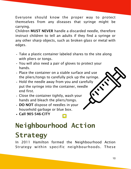Everyone should know the proper way to protect themselves from any diseases that syringe might be carrying.

Children MUST NEVER handle a discarded needle, therefore instruct children to tell an adults if they find a syringe or any other sharp objects, such as broken glass or metal with edges.

- Take a plastic container labeled shares to the site along with pliers or tongs.
- You will also need a pair of gloves to protect your hands.
- Place the container on a stable surface and use the pliers/tongs to carefully pick up the syringe.
- Hold the needle away from you and carefully put the syringe into the container, needle end first.
- Close the container tightly, wash your hands and bleach the pliers/tongs.
- DO NOT dispose of needles in your household garbage or blue box.
- Call 905-546-CITY

## **Neighbourhood Action Strategy**

In 2011 Hamilton formed the Neighbourhood Action Strategy within specific neighbourhoods. These

 $\bigcirc$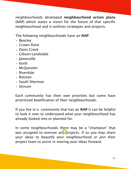neighbourhoods developed neighbourhood action plans (NAP) which states a vision for the future of that specific neighbourhood and it outlines strategies and projects.

The following neighbourhoods have an NAP:

- Beasley
- Crown Point
- Davis Creek
- Gibson-Landsdale
- Jamesville
- Keith
- McQuesten
- Riverdale
- Rolston
- South Sherman
- Stinson

Each community has their own priorities but some have prioritized beatification of their neighbourhoods.

If you live in a community that has an NAP it can be helpful to look it over to understand what your neighbourhood has already looked into or planned for.

In some neighbourhoods there may be a "champion" that was assigned to oversee an  $\mathbb{R}$  rojects. If so you may share your ideas to beautify your neighbourhood or join their project team to assist in moving your ideas forward.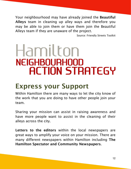Your neighbourhood may have already joined the Beautiful Alleys team in cleaning up alley ways and therefore you may be able to join them or have them join the Beautiful Alleys team if they are unaware of the project.

Source: Friendly Streets Toolkit

## Hamilton **NEIGHBOURHOOD ACTION STRATEGY**

#### Express your Support

Within Hamilton there are many ways to let the city know of the work that you are doing to have other people join your team.

Sharing your mission can assist in raising awareness and have more people want to assist in the cleaning of their alleys across the city.

Letters to the editors within the local newspapers are great ways to amplify your voice on your mission. There are many different newspapers within Hamilton including The Hamilton Spectator and Community Newspapers.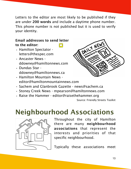Letters to the editor are most likely to be published if they are under 200 words and include a daytime phone number. This phone number is not published but it is used to verify your identity.

#### Email addresses to send letter to the editor:  $\overline{\bigcirc}$

- Hamilton Spectator [letters@thespec.com](mailto:letters@thespec.com)
- Ancaster News [ddowney@hamiltonnews.com](mailto:ddowney@hamiltonnews.com)
- Dundas Star [ddowney@hamiltonnews.ca](mailto:ddowney@hamiltonnews.ca)
- Hamilton Mountain News [editor@hamiltonmountainnews.com](mailto:editor@hamiltonmountainnews.com)



- Stoney Creek News [mpearson@hamiltonnews.com](mailto:mpearson@hamiltonnews.com)
- Raise the Hammer [editor@raisethehammer.org](mailto:editor@raisethehammer.org)

Source: Friendly Streets Toolkit

DAILY NEWS

#### Neighbourhood Associations



Throughout the city of Hamilton there are many neighbourhood associations that represent the interests and priorities of that specific neighbourhood.

Typically these associations meet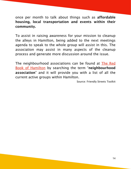once per month to talk about things such as affordable housing, local transportation and events within their community.

To assist in raising awareness for your mission to cleanup the alleys in Hamilton, being added to the next meetings agenda to speak to the whole group will assist in this. The association may assist in many aspects of the cleanup process and generate more discussion around the issue.

The neighbourhood associations can be found at [The Red](http://informationhamilton.ca/redbook) [Book of Hamilton](http://informationhamilton.ca/redbook) by searching the term "neighbourhood association" and it will provide you with a list of all the current active groups within Hamilton.

Source: Friendly Streets Toolkit